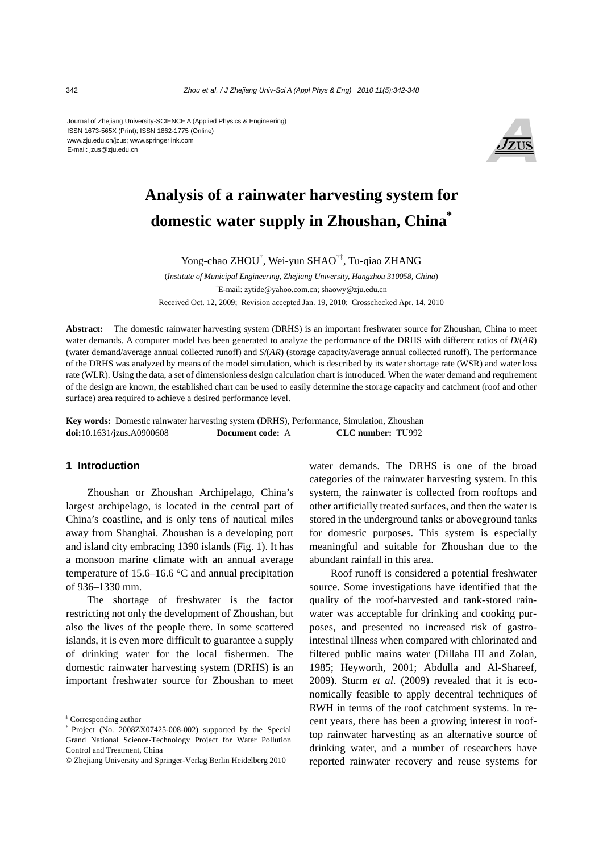Journal of Zhejiang University-SCIENCE A (Applied Physics & Engineering) ISSN 1673-565X (Print); ISSN 1862-1775 (Online) www.zju.edu.cn/jzus; www.springerlink.com E-mail: jzus@zju.edu.cn



# **Analysis of a rainwater harvesting system for domestic water supply in Zhoushan, China\***

Yong-chao ZHOU<sup>†</sup>, Wei-yun SHAO<sup>†‡</sup>, Tu-qiao ZHANG

(*Institute of Municipal Engineering, Zhejiang University, Hangzhou 310058, China*) † E-mail: zytide@yahoo.com.cn; shaowy@zju.edu.cn Received Oct. 12, 2009; Revision accepted Jan. 19, 2010; Crosschecked Apr. 14, 2010

**Abstract:** The domestic rainwater harvesting system (DRHS) is an important freshwater source for Zhoushan, China to meet water demands. A computer model has been generated to analyze the performance of the DRHS with different ratios of *D*/(*AR*) (water demand/average annual collected runoff) and *S*/(*AR*) (storage capacity/average annual collected runoff). The performance of the DRHS was analyzed by means of the model simulation, which is described by its water shortage rate (WSR) and water loss rate (WLR). Using the data, a set of dimensionless design calculation chart is introduced. When the water demand and requirement of the design are known, the established chart can be used to easily determine the storage capacity and catchment (roof and other surface) area required to achieve a desired performance level.

**Key words:** Domestic rainwater harvesting system (DRHS), Performance, Simulation, Zhoushan **doi:**10.1631/jzus.A0900608 **Document code:** A **CLC number:** TU992

## **1 Introduction**

Zhoushan or Zhoushan Archipelago, China's largest archipelago, is located in the central part of China's coastline, and is only tens of nautical miles away from Shanghai. Zhoushan is a developing port and island city embracing 1390 islands (Fig. 1). It has a monsoon marine climate with an annual average temperature of 15.6–16.6 °C and annual precipitation of 936–1330 mm.

The shortage of freshwater is the factor restricting not only the development of Zhoushan, but also the lives of the people there. In some scattered islands, it is even more difficult to guarantee a supply of drinking water for the local fishermen. The domestic rainwater harvesting system (DRHS) is an important freshwater source for Zhoushan to meet

water demands. The DRHS is one of the broad categories of the rainwater harvesting system. In this system, the rainwater is collected from rooftops and other artificially treated surfaces, and then the water is stored in the underground tanks or aboveground tanks for domestic purposes. This system is especially meaningful and suitable for Zhoushan due to the abundant rainfall in this area.

Roof runoff is considered a potential freshwater source. Some investigations have identified that the quality of the roof-harvested and tank-stored rainwater was acceptable for drinking and cooking purposes, and presented no increased risk of gastrointestinal illness when compared with chlorinated and filtered public mains water (Dillaha III and Zolan, 1985; Heyworth, 2001; Abdulla and Al-Shareef, 2009). Sturm *et al*. (2009) revealed that it is economically feasible to apply decentral techniques of RWH in terms of the roof catchment systems. In recent years, there has been a growing interest in rooftop rainwater harvesting as an alternative source of drinking water, and a number of researchers have reported rainwater recovery and reuse systems for

<sup>‡</sup> Corresponding author

Project (No. 2008ZX07425-008-002) supported by the Special Grand National Science-Technology Project for Water Pollution Control and Treatment, China

<sup>©</sup> Zhejiang University and Springer-Verlag Berlin Heidelberg 2010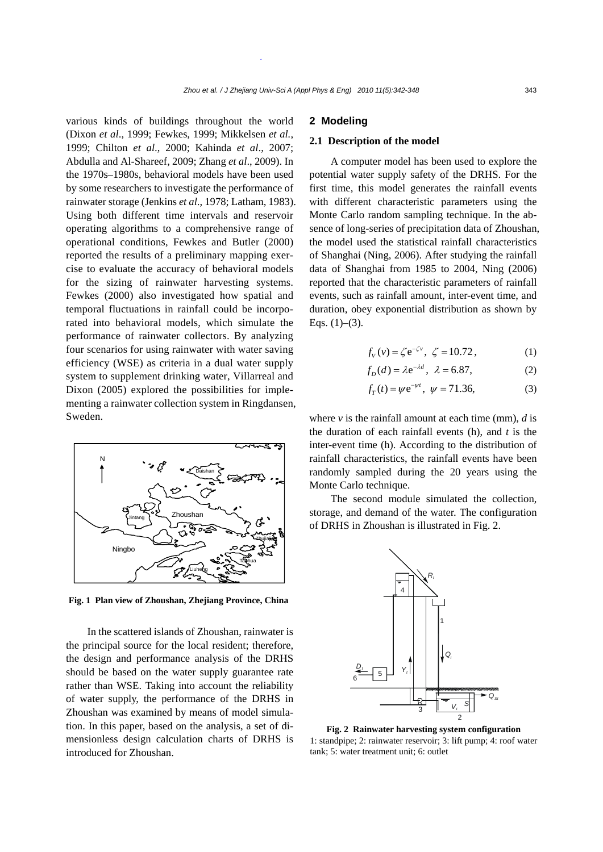various kinds of buildings throughout the world (Dixon *et al*., 1999; Fewkes, 1999; Mikkelsen *et al.*, 1999; Chilton *et al*., 2000; Kahinda *et al*., 2007; Abdulla and Al-Shareef, 2009; Zhang *et al*., 2009). In the 1970s–1980s, behavioral models have been used by some researchers to investigate the performance of rainwater storage (Jenkins *et al*., 1978; Latham, 1983). Using both different time intervals and reservoir operating algorithms to a comprehensive range of operational conditions, Fewkes and Butler (2000) reported the results of a preliminary mapping exercise to evaluate the accuracy of behavioral models for the sizing of rainwater harvesting systems. Fewkes (2000) also investigated how spatial and temporal fluctuations in rainfall could be incorporated into behavioral models, which simulate the performance of rainwater collectors. By analyzing four scenarios for using rainwater with water saving efficiency (WSE) as criteria in a dual water supply system to supplement drinking water, Villarreal and Dixon (2005) explored the possibilities for implementing a rainwater collection system in Ringdansen, Sweden.



**Fig. 1 Plan view of Zhoushan, Zhejiang Province, China**

In the scattered islands of Zhoushan, rainwater is the principal source for the local resident; therefore, the design and performance analysis of the DRHS should be based on the water supply guarantee rate rather than WSE. Taking into account the reliability of water supply, the performance of the DRHS in Zhoushan was examined by means of model simulation. In this paper, based on the analysis, a set of dimensionless design calculation charts of DRHS is introduced for Zhoushan.

## **2 Modeling**

## **2.1 Description of the model**

A computer model has been used to explore the potential water supply safety of the DRHS. For the first time, this model generates the rainfall events with different characteristic parameters using the Monte Carlo random sampling technique. In the absence of long-series of precipitation data of Zhoushan, the model used the statistical rainfall characteristics of Shanghai (Ning, 2006). After studying the rainfall data of Shanghai from 1985 to 2004, Ning (2006) reported that the characteristic parameters of rainfall events, such as rainfall amount, inter-event time, and duration, obey exponential distribution as shown by Eqs.  $(1)$ – $(3)$ .

$$
f_V(v) = \zeta e^{-\zeta v}, \ \zeta = 10.72, \tag{1}
$$

$$
f_D(d) = \lambda e^{-\lambda d}, \ \lambda = 6.87,\tag{2}
$$

$$
f_T(t) = \psi e^{-\psi t}, \ \psi = 71.36,
$$
 (3)

where  $\nu$  is the rainfall amount at each time (mm),  $d$  is the duration of each rainfall events (h), and *t* is the inter-event time (h). According to the distribution of rainfall characteristics, the rainfall events have been randomly sampled during the 20 years using the Monte Carlo technique.

The second module simulated the collection, storage, and demand of the water. The configuration of DRHS in Zhoushan is illustrated in Fig. 2.



**Fig. 2 Rainwater harvesting system configuration** 1: standpipe; 2: rainwater reservoir; 3: lift pump; 4: roof water tank; 5: water treatment unit; 6: outlet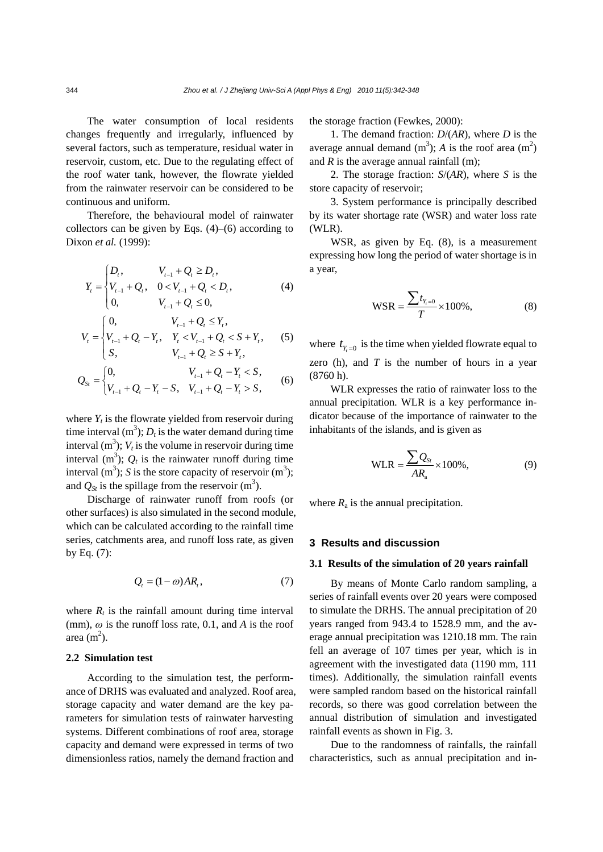The water consumption of local residents changes frequently and irregularly, influenced by several factors, such as temperature, residual water in reservoir, custom, etc. Due to the regulating effect of the roof water tank, however, the flowrate yielded from the rainwater reservoir can be considered to be continuous and uniform.

Therefore, the behavioural model of rainwater collectors can be given by Eqs.  $(4)$ – $(6)$  according to Dixon *et al.* (1999):

$$
Y_{t} = \begin{cases} D_{t}, & V_{t-1} + Q_{t} \ge D_{t}, \\ V_{t-1} + Q_{t}, & 0 < V_{t-1} + Q_{t} < D_{t}, \\ 0, & V_{t-1} + Q_{t} \le 0, \end{cases}
$$
 (4)

$$
V_{t} = \begin{cases} 0, & V_{t-1} + Q_{t} \le Y_{t}, \\ V_{t-1} + Q_{t} - Y_{t}, & Y_{t} < V_{t-1} + Q_{t} < S + Y_{t}, \\ S, & V_{t-1} + Q_{t} \ge S + Y_{t}, \end{cases}
$$
 (5)

$$
Q_{St} = \begin{cases} 0, & V_{t-1} + Q_t - Y_t < S, \\ V_{t-1} + Q_t - Y_t - S, & V_{t-1} + Q_t - Y_t > S, \end{cases}
$$
 (6)

where  $Y_t$  is the flowrate yielded from reservoir during time interval  $(m^3)$ ;  $D_t$  is the water demand during time interval  $(m^3)$ ;  $V_t$  is the volume in reservoir during time interval  $(m^3)$ ;  $Q_t$  is the rainwater runoff during time interval  $(m^3)$ ; *S* is the store capacity of reservoir  $(m^3)$ ; and  $Q_{St}$  is the spillage from the reservoir  $(m^3)$ .

Discharge of rainwater runoff from roofs (or other surfaces) is also simulated in the second module, which can be calculated according to the rainfall time series, catchments area, and runoff loss rate, as given by Eq. (7):

$$
Q_t = (1 - \omega)AR_t, \tag{7}
$$

where  $R_t$  is the rainfall amount during time interval (mm),  $\omega$  is the runoff loss rate, 0.1, and *A* is the roof area  $(m<sup>2</sup>)$ .

# **2.2 Simulation test**

According to the simulation test, the performance of DRHS was evaluated and analyzed. Roof area, storage capacity and water demand are the key parameters for simulation tests of rainwater harvesting systems. Different combinations of roof area, storage capacity and demand were expressed in terms of two dimensionless ratios, namely the demand fraction and

the storage fraction (Fewkes, 2000):

1. The demand fraction: *D*/(*AR*), where *D* is the average annual demand  $(m^3)$ ; *A* is the roof area  $(m^2)$ and *R* is the average annual rainfall (m);

2. The storage fraction: *S*/(*AR*), where *S* is the store capacity of reservoir;

3. System performance is principally described by its water shortage rate (WSR) and water loss rate (WLR).

WSR, as given by Eq. (8), is a measurement expressing how long the period of water shortage is in a year,

$$
WSR = \frac{\sum t_{Y_t=0}}{T} \times 100\%,
$$
 (8)

where  $t_{y=0}$  is the time when yielded flowrate equal to zero (h), and *T* is the number of hours in a year (8760 h).

WLR expresses the ratio of rainwater loss to the annual precipitation. WLR is a key performance indicator because of the importance of rainwater to the inhabitants of the islands, and is given as

$$
WLR = \frac{\sum Q_{St}}{AR_a} \times 100\%,\tag{9}
$$

where  $R_a$  is the annual precipitation.

### **3 Results and discussion**

## **3.1 Results of the simulation of 20 years rainfall**

By means of Monte Carlo random sampling, a series of rainfall events over 20 years were composed to simulate the DRHS. The annual precipitation of 20 years ranged from 943.4 to 1528.9 mm, and the average annual precipitation was 1210.18 mm. The rain fell an average of 107 times per year, which is in agreement with the investigated data (1190 mm, 111 times). Additionally, the simulation rainfall events were sampled random based on the historical rainfall records, so there was good correlation between the annual distribution of simulation and investigated rainfall events as shown in Fig. 3.

Due to the randomness of rainfalls, the rainfall characteristics, such as annual precipitation and in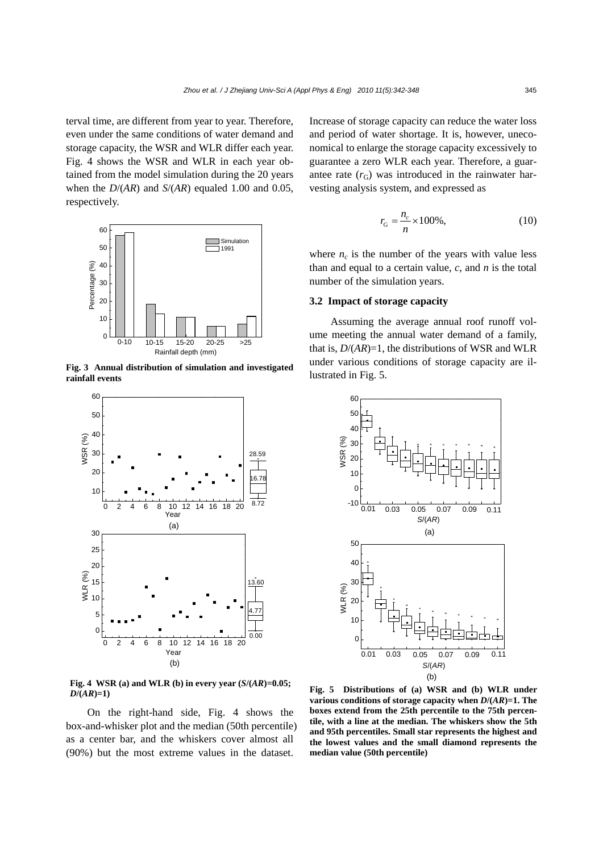terval time, are different from year to year. Therefore, even under the same conditions of water demand and storage capacity, the WSR and WLR differ each year. Fig. 4 shows the WSR and WLR in each year obtained from the model simulation during the 20 years when the *D*/(*AR*) and *S*/(*AR*) equaled 1.00 and 0.05, respectively.



**Fig. 3 Annual distribution of simulation and investigated rainfall events** 



Fig. 4 WSR (a) and WLR (b) in every year  $(S/(AR)=0.05;$  $D/(AR)=1$ )

On the right-hand side, Fig. 4 shows the box-and-whisker plot and the median (50th percentile) as a center bar, and the whiskers cover almost all (90%) but the most extreme values in the dataset.

Increase of storage capacity can reduce the water loss and period of water shortage. It is, however, uneconomical to enlarge the storage capacity excessively to guarantee a zero WLR each year. Therefore, a guarantee rate  $(r_G)$  was introduced in the rainwater harvesting analysis system, and expressed as

$$
r_{\rm G} = \frac{n_c}{n} \times 100\%,\tag{10}
$$

where  $n_c$  is the number of the years with value less than and equal to a certain value, *c*, and *n* is the total number of the simulation years.

## **3.2 Impact of storage capacity**

Assuming the average annual roof runoff volume meeting the annual water demand of a family, that is, *D*/(*AR*)=1, the distributions of WSR and WLR under various conditions of storage capacity are illustrated in Fig. 5.



**Fig. 5 Distributions of (a) WSR and (b) WLR under various conditions of storage capacity when** *D***/(***AR***)=1. The boxes extend from the 25th percentile to the 75th percentile, with a line at the median. The whiskers show the 5th and 95th percentiles. Small star represents the highest and the lowest values and the small diamond represents the median value (50th percentile)**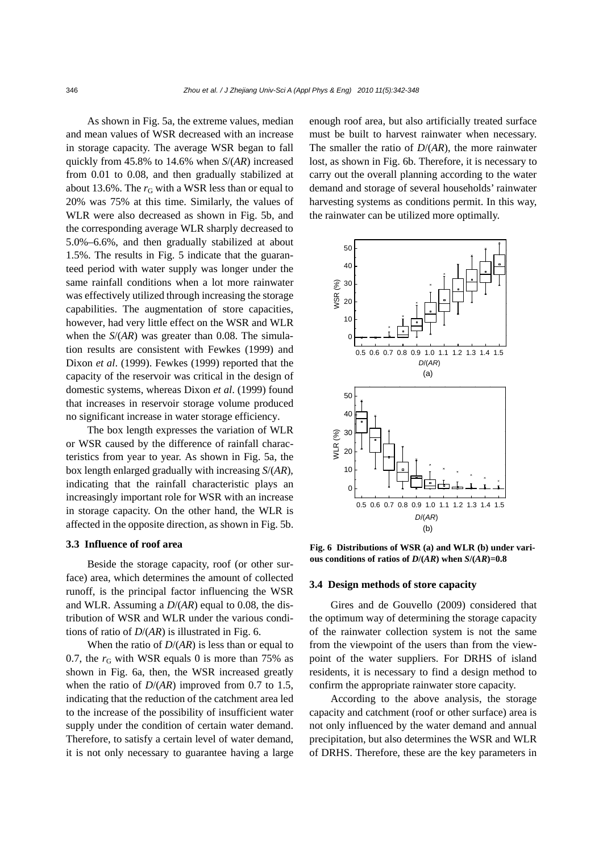As shown in Fig. 5a, the extreme values, median and mean values of WSR decreased with an increase in storage capacity. The average WSR began to fall quickly from 45.8% to 14.6% when *S*/(*AR*) increased from 0.01 to 0.08, and then gradually stabilized at about 13.6%. The  $r<sub>G</sub>$  with a WSR less than or equal to 20% was 75% at this time. Similarly, the values of WLR were also decreased as shown in Fig. 5b, and the corresponding average WLR sharply decreased to 5.0%–6.6%, and then gradually stabilized at about 1.5%. The results in Fig. 5 indicate that the guaranteed period with water supply was longer under the same rainfall conditions when a lot more rainwater was effectively utilized through increasing the storage capabilities. The augmentation of store capacities, however, had very little effect on the WSR and WLR when the *S*/(*AR*) was greater than 0.08. The simulation results are consistent with Fewkes (1999) and Dixon *et al*. (1999). Fewkes (1999) reported that the capacity of the reservoir was critical in the design of domestic systems, whereas Dixon *et al*. (1999) found that increases in reservoir storage volume produced no significant increase in water storage efficiency.

The box length expresses the variation of WLR or WSR caused by the difference of rainfall characteristics from year to year. As shown in Fig. 5a, the box length enlarged gradually with increasing *S*/(*AR*), indicating that the rainfall characteristic plays an increasingly important role for WSR with an increase in storage capacity. On the other hand, the WLR is affected in the opposite direction, as shown in Fig. 5b.

## **3.3 Influence of roof area**

Beside the storage capacity, roof (or other surface) area, which determines the amount of collected runoff, is the principal factor influencing the WSR and WLR. Assuming a *D*/(*AR*) equal to 0.08, the distribution of WSR and WLR under the various conditions of ratio of *D*/(*AR*) is illustrated in Fig. 6.

When the ratio of *D*/(*AR*) is less than or equal to 0.7, the  $r<sub>G</sub>$  with WSR equals 0 is more than 75% as shown in Fig. 6a, then, the WSR increased greatly when the ratio of *D*/(*AR*) improved from 0.7 to 1.5, indicating that the reduction of the catchment area led to the increase of the possibility of insufficient water supply under the condition of certain water demand. Therefore, to satisfy a certain level of water demand, it is not only necessary to guarantee having a large

enough roof area, but also artificially treated surface must be built to harvest rainwater when necessary. The smaller the ratio of *D*/(*AR*), the more rainwater lost, as shown in Fig. 6b. Therefore, it is necessary to carry out the overall planning according to the water demand and storage of several households' rainwater harvesting systems as conditions permit. In this way, the rainwater can be utilized more optimally.



**Fig. 6 Distributions of WSR (a) and WLR (b) under various conditions of ratios of** *D***/(***AR***) when** *S***/(***AR***)=0.8** 

#### **3.4 Design methods of store capacity**

Gires and de Gouvello (2009) considered that the optimum way of determining the storage capacity of the rainwater collection system is not the same from the viewpoint of the users than from the viewpoint of the water suppliers. For DRHS of island residents, it is necessary to find a design method to confirm the appropriate rainwater store capacity.

According to the above analysis, the storage capacity and catchment (roof or other surface) area is not only influenced by the water demand and annual precipitation, but also determines the WSR and WLR of DRHS. Therefore, these are the key parameters in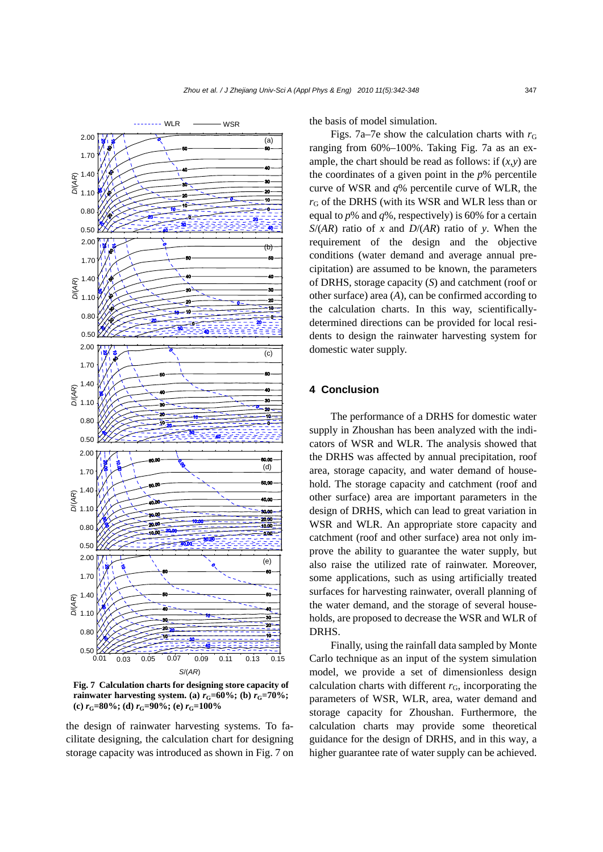

**Fig. 7 Calculation charts for designing store capacity of rainwater harvesting system.** (a)  $r<sub>G</sub>=60\%$ ; (b)  $r<sub>G</sub>=70\%$ ; **(c)**  $r_{\text{G}} = 80\%$ ; **(d)**  $r_{\text{G}} = 90\%$ ; **(e)**  $r_{\text{G}} = 100\%$ 

the design of rainwater harvesting systems. To facilitate designing, the calculation chart for designing storage capacity was introduced as shown in Fig. 7 on the basis of model simulation.

Figs. 7a–7e show the calculation charts with  $r<sub>G</sub>$ ranging from 60%–100%. Taking Fig. 7a as an example, the chart should be read as follows: if  $(x, y)$  are the coordinates of a given point in the *p*% percentile curve of WSR and *q*% percentile curve of WLR, the  $r<sub>G</sub>$  of the DRHS (with its WSR and WLR less than or equal to *p*% and *q*%, respectively) is 60% for a certain *S*/(*AR*) ratio of *x* and *D*/(*AR*) ratio of *y*. When the requirement of the design and the objective conditions (water demand and average annual precipitation) are assumed to be known, the parameters of DRHS, storage capacity (*S*) and catchment (roof or other surface) area (*A*), can be confirmed according to the calculation charts. In this way, scientificallydetermined directions can be provided for local residents to design the rainwater harvesting system for domestic water supply.

## **4 Conclusion**

The performance of a DRHS for domestic water supply in Zhoushan has been analyzed with the indicators of WSR and WLR. The analysis showed that the DRHS was affected by annual precipitation, roof area, storage capacity, and water demand of household. The storage capacity and catchment (roof and other surface) area are important parameters in the design of DRHS, which can lead to great variation in WSR and WLR. An appropriate store capacity and catchment (roof and other surface) area not only improve the ability to guarantee the water supply, but also raise the utilized rate of rainwater. Moreover, some applications, such as using artificially treated surfaces for harvesting rainwater, overall planning of the water demand, and the storage of several households, are proposed to decrease the WSR and WLR of DRHS.

Finally, using the rainfall data sampled by Monte Carlo technique as an input of the system simulation model, we provide a set of dimensionless design calculation charts with different  $r<sub>G</sub>$ , incorporating the parameters of WSR, WLR, area, water demand and storage capacity for Zhoushan. Furthermore, the calculation charts may provide some theoretical guidance for the design of DRHS, and in this way, a higher guarantee rate of water supply can be achieved.